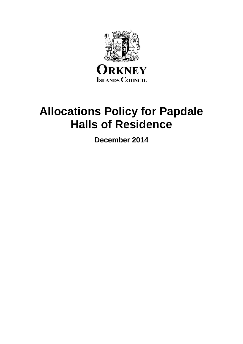

# **Allocations Policy for Papdale Halls of Residence**

**December 2014**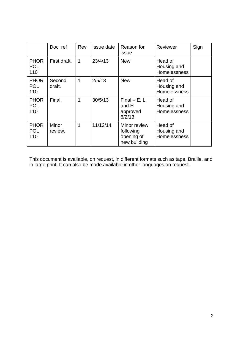|                                  | Doc ref          | Rev | Issue date | Reason for<br>issue                                     | Reviewer                                      | Sign |
|----------------------------------|------------------|-----|------------|---------------------------------------------------------|-----------------------------------------------|------|
| <b>PHOR</b><br><b>POL</b><br>110 | First draft.     | 1   | 23/4/13    | <b>New</b>                                              | Head of<br>Housing and<br><b>Homelessness</b> |      |
| <b>PHOR</b><br><b>POL</b><br>110 | Second<br>draft. | 1   | 2/5/13     | <b>New</b>                                              | Head of<br>Housing and<br><b>Homelessness</b> |      |
| <b>PHOR</b><br><b>POL</b><br>110 | Final.           | 1   | 30/5/13    | $Final - E, L$<br>and H<br>approved<br>6/2/13           | Head of<br>Housing and<br><b>Homelessness</b> |      |
| <b>PHOR</b><br>POL<br>110        | Minor<br>review. | 1   | 11/12/14   | Minor review<br>following<br>opening of<br>new building | Head of<br>Housing and<br><b>Homelessness</b> |      |

This document is available, on request, in different formats such as tape, Braille, and in large print. It can also be made available in other languages on request.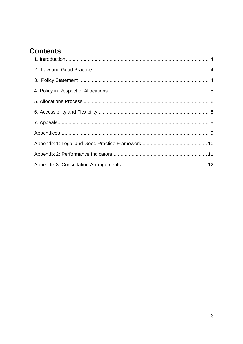# **Contents**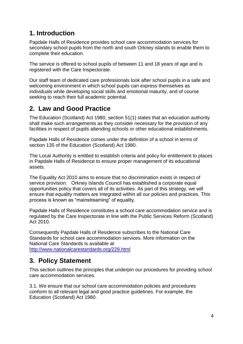#### <span id="page-3-0"></span>**1. Introduction**

Papdale Halls of Residence provides school care accommodation services for secondary school pupils from the north and south Orkney islands to enable them to complete their education.

The service is offered to school pupils of between 11 and 18 years of age and is registered with the Care Inspectorate.

Our staff team of dedicated care professionals look after school pupils in a safe and welcoming environment in which school pupils can express themselves as individuals while developing social skills and emotional maturity, and of course seeking to reach their full academic potential.

#### <span id="page-3-1"></span>**2. Law and Good Practice**

The Education (Scotland) Act 1980, section 51(1) states that an education authority shall make such arrangements as they consider necessary for the provision of any facilities in respect of pupils attending schools or other educational establishments.

Papdale Halls of Residence comes under the definition of a school in terms of section 135 of the Education (Scotland) Act 1980.

The Local Authority is entitled to establish criteria and policy for entitlement to places in Papdale Halls of Residence to ensure proper management of its educational assets.

The Equality Act 2010 aims to ensure that no discrimination exists in respect of service provision. Orkney Islands Council has established a corporate equal opportunities policy that covers all of its activities. As part of this strategy, we will ensure that equality matters are integrated within all our policies and practices. This process is known as "mainstreaming" of equality.

Papdale Halls of Residence constitutes a school care accommodation service and is regulated by the Care Inspectorate in line with the Public Services Reform (Scotland) Act 2010.

Consequently Papdale Halls of Residence subscribes to the National Care Standards for school care accommodation services. More information on the National Care Standards is available at [http://www.nationalcarestandards.org/229.html](https://www.webarchive.org.uk/wayback/archive/20150309174819/http://www.nationalcarestandards.org/)

#### <span id="page-3-2"></span>**3. Policy Statement**

This section outlines the principles that underpin our procedures for providing school care accommodation services.

3.1. We ensure that our school care accommodation policies and procedures conform to all relevant legal and good practice guidelines. For example, the Education (Scotland) Act 1980.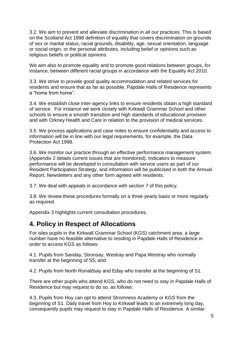3.2. We aim to prevent and alleviate discrimination in all our practices. This is based on the Scotland Act 1998 definition of equality that covers discrimination on grounds of sex or marital status, racial grounds, disability, age, sexual orientation, language or social origin, or the personal attributes, including belief or opinions such as religious beliefs or political opinions.

We aim also to promote equality and to promote good relations between groups, for instance, between different racial groups in accordance with the Equality Act 2010.

3.3. We strive to provide good quality accommodation and related services for residents and ensure that as far as possible, Papdale Halls of Residence represents a "home from home".

3.4. We establish close inter-agency links to ensure residents obtain a high standard of service. For instance we work closely with Kirkwall Grammar School and other schools to ensure a smooth transition and high standards of educational provision and with Orkney Health and Care in relation to the provision of medical services.

3.5. We process applications and case notes to ensure confidentiality and access to information will be in line with our legal requirements, for example, the Data Protection Act 1998.

3.6. We monitor our practice through an effective performance management system. (Appendix 2 details current issues that are monitored). Indicators to measure performance will be developed in consultation with service users as part of our Resident Participation Strategy, and information will be publicised in both the Annual Report, Newsletters and any other form agreed with residents.

3.7. We deal with appeals in accordance with section 7 of this policy.

3.8. We review these procedures formally on a three yearly basis or more regularly as required.

Appendix 3 highlights current consultation procedures.

#### <span id="page-4-0"></span>**4. Policy in Respect of Allocations**

For isles pupils in the Kirkwall Grammar School (KGS) catchment area, a large number have no feasible alternative to residing in Papdale Halls of Residence in order to access KGS as follows:

4.1. Pupils from Sanday, Stronsay, Westray and Papa Westray who normally transfer at the beginning of S5; and.

4.2. Pupils from North Ronaldsay and Eday who transfer at the beginning of S1.

There are other pupils who attend KGS, who do not need to stay in Papdale Halls of Residence but may request to do so, as follows:

4.3. Pupils from Hoy can opt to attend Stromness Academy or KGS from the beginning of S1. Daily travel from Hoy to Kirkwall leads to an extremely long day, consequently pupils may request to stay in Papdale Halls of Residence. A similar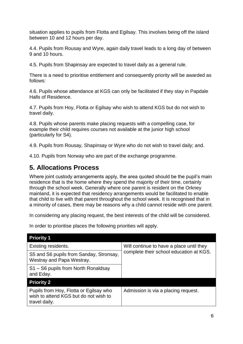situation applies to pupils from Flotta and Egilsay. This involves being off the island between 10 and 12 hours per day.

4.4. Pupils from Rousay and Wyre, again daily travel leads to a long day of between 9 and 10 hours.

4.5. Pupils from Shapinsay are expected to travel daily as a general rule.

There is a need to prioritise entitlement and consequently priority will be awarded as follows:

4.6. Pupils whose attendance at KGS can only be facilitated if they stay in Papdale Halls of Residence.

4.7. Pupils from Hoy, Flotta or Egilsay who wish to attend KGS but do not wish to travel daily.

4.8. Pupils whose parents make placing requests with a compelling case, for example their child requires courses not available at the junior high school (particularly for S4).

4.9. Pupils from Rousay, Shapinsay or Wyre who do not wish to travel daily; and.

4.10. Pupils from Norway who are part of the exchange programme.

#### <span id="page-5-0"></span>**5. Allocations Process**

Where joint custody arrangements apply, the area guoted should be the pupil's main residence that is the home where they spend the majority of their time, certainly through the school week. Generally where one parent is resident on the Orkney mainland, it is expected that residency arrangements would be facilitated to enable that child to live with that parent throughout the school week. It is recognised that in a minority of cases, there may be reasons why a child cannot reside with one parent.

In considering any placing request, the best interests of the child will be considered.

In order to prioritise places the following priorities will apply.

| <b>Priority 1</b>                                                                                |                                          |  |  |  |  |
|--------------------------------------------------------------------------------------------------|------------------------------------------|--|--|--|--|
| Existing residents.                                                                              | Will continue to have a place until they |  |  |  |  |
| S5 and S6 pupils from Sanday, Stronsay,<br>Westray and Papa Westray.                             | complete their school education at KGS.  |  |  |  |  |
| S1 – S6 pupils from North Ronaldsay<br>and Eday.                                                 |                                          |  |  |  |  |
| <b>Priority 2</b>                                                                                |                                          |  |  |  |  |
| Pupils from Hoy, Flotta or Egilsay who<br>wish to attend KGS but do not wish to<br>travel daily. | Admission is via a placing request.      |  |  |  |  |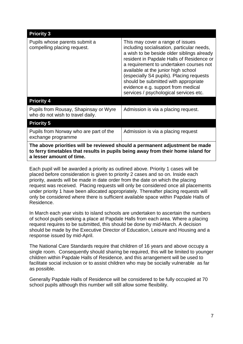| <b>Priority 3</b>                                                                                                                                                                           |                                                                                                                                                                                                                                                                                                                                                                                                                                 |  |  |  |  |
|---------------------------------------------------------------------------------------------------------------------------------------------------------------------------------------------|---------------------------------------------------------------------------------------------------------------------------------------------------------------------------------------------------------------------------------------------------------------------------------------------------------------------------------------------------------------------------------------------------------------------------------|--|--|--|--|
| Pupils whose parents submit a<br>compelling placing request.                                                                                                                                | This may cover a range of issues<br>including socialisation, particular needs,<br>a wish to be beside older siblings already<br>resident in Papdale Halls of Residence or<br>a requirement to undertaken courses not<br>available at the junior high school<br>(especially S4 pupils). Placing requests<br>should be submitted with appropriate<br>evidence e.g. support from medical<br>services / psychological services etc. |  |  |  |  |
| <b>Priority 4</b>                                                                                                                                                                           |                                                                                                                                                                                                                                                                                                                                                                                                                                 |  |  |  |  |
| Pupils from Rousay, Shapinsay or Wyre<br>who do not wish to travel daily.                                                                                                                   | Admission is via a placing request.                                                                                                                                                                                                                                                                                                                                                                                             |  |  |  |  |
| <b>Priority 5</b>                                                                                                                                                                           |                                                                                                                                                                                                                                                                                                                                                                                                                                 |  |  |  |  |
| Pupils from Norway who are part of the<br>exchange programme                                                                                                                                | Admission is via a placing request                                                                                                                                                                                                                                                                                                                                                                                              |  |  |  |  |
| The above priorities will be reviewed should a permanent adjustment be made<br>to ferry timetables that results in pupils being away from their home island for<br>a lesser amount of time. |                                                                                                                                                                                                                                                                                                                                                                                                                                 |  |  |  |  |

Each pupil will be awarded a priority as outlined above. Priority 1 cases will be placed before consideration is given to priority 2 cases and so on. Inside each priority, awards will be made in date order from the date on which the placing request was received. Placing requests will only be considered once all placements under priority 1 have been allocated appropriately. Thereafter placing requests will only be considered where there is sufficient available space within Papdale Halls of Residence.

In March each year visits to island schools are undertaken to ascertain the numbers of school pupils seeking a place at Papdale Halls from each area. Where a placing request requires to be submitted, this should be done by mid-March. A decision should be made by the Executive Director of Education, Leisure and Housing and a response issued by mid-April.

The National Care Standards require that children of 16 years and above occupy a single room. Consequently should sharing be required, this will be limited to younger children within Papdale Halls of Residence, and this arrangement will be used to facilitate social inclusion or to assist children who may be socially vulnerable as far as possible.

Generally Papdale Halls of Residence will be considered to be fully occupied at 70 school pupils although this number will still allow some flexibility.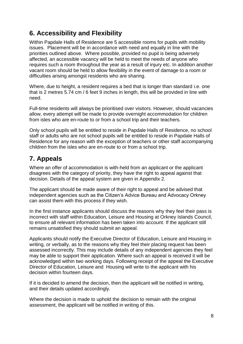## <span id="page-7-0"></span>**6. Accessibility and Flexibility**

Within Papdale Halls of Residence are 5 accessible rooms for pupils with mobility issues. Placement will be in accordance with need and equally in line with the priorities outlined above. Where possible, provided no pupil is being adversely affected, an accessible vacancy will be held to meet the needs of anyone who requires such a room throughout the year as a result of injury etc. In addition another vacant room should be held to allow flexibility in the event of damage to a room or difficulties arising amongst residents who are sharing.

Where, due to height, a resident requires a bed that is longer than standard i.e. one that is 2 metres 5.74 cm / 6 feet 9 inches in length, this will be provided in line with need.

Full-time residents will always be prioritised over visitors. However, should vacancies allow, every attempt will be made to provide overnight accommodation for children from isles who are en-route to or from a school trip and their teachers.

Only school pupils will be entitled to reside in Papdale Halls of Residence, no school staff or adults who are not school pupils will be entitled to reside in Papdale Halls of Residence for any reason with the exception of teachers or other staff accompanying children from the isles who are en-route to or from a school trip.

## <span id="page-7-1"></span>**7. Appeals**

Where an offer of accommodation is with-held from an applicant or the applicant disagrees with the category of priority, they have the right to appeal against that decision. Details of the appeal system are given in Appendix 2.

The applicant should be made aware of their right to appeal and be advised that independent agencies such as the Citizen's Advice Bureau and Advocacy Orkney can assist them with this process if they wish.

In the first instance applicants should discuss the reasons why they feel their pass is incorrect with staff within Education, Leisure and Housing at Orkney Islands Council, to ensure all relevant information has been taken into account. If the applicant still remains unsatisfied they should submit an appeal.

Applicants should notify the Executive Director of Education, Leisure and Housing in writing, or verbally, as to the reasons why they feel their placing request has been assessed incorrectly. This may include details of any independent agencies they feel may be able to support their application. Where such an appeal is received it will be acknowledged within two working days. Following receipt of the appeal the Executive Director of Education, Leisure and Housing will write to the applicant with his decision within fourteen days.

If it is decided to amend the decision, then the applicant will be notified in writing, and their details updated accordingly.

Where the decision is made to uphold the decision to remain with the original assessment, the applicant will be notified in writing of this.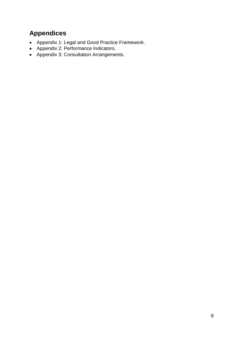## <span id="page-8-0"></span>**Appendices**

- Appendix 1: Legal and Good Practice Framework.
- Appendix 2: Performance Indicators.
- Appendix 3: Consultation Arrangements.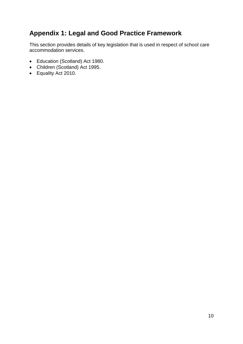## <span id="page-9-0"></span>**Appendix 1: Legal and Good Practice Framework**

This section provides details of key legislation that is used in respect of school care accommodation services.

- Education (Scotland) Act 1980.
- Children (Scotland) Act 1995.
- Equality Act 2010.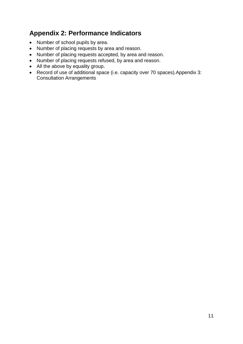## <span id="page-10-0"></span>**Appendix 2: Performance Indicators**

- Number of school pupils by area.
- Number of placing requests by area and reason.
- Number of placing requests accepted, by area and reason.
- Number of placing requests refused, by area and reason.
- All the above by equality group.
- Record of use of additional space (i.e. capacity over 70 spaces).Appendix 3: Consultation Arrangements